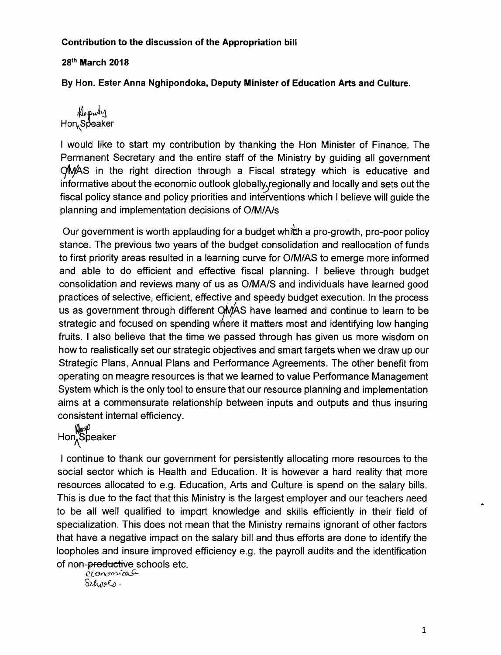## Contribution to the discussion of the Appropriation bill

## 28th March 2018

By Hon. Ester Anna Nghipondoka, Deputy Minister of Education Arts and Culture.

Reputy Hon<sub>∧</sub>Speaker

I would like to start my contribution by thanking the Hon Minister of Finance, The Permanent Secretary and the entire staff of the Ministry by guiding all government WAS in the right direction through a Fiscal strategy which is educative and informative about the economic outlook globally, regionally and locally and sets out the fiscal policy stance and policy priorities and interventions which I believe will guide the planning and implementation decisions of *O/M/Als*

Our government is worth applauding for a budget which a pro-growth, pro-poor policy stance. The previous two years of the budget consolidation and reallocation of funds to first priority areas resulted in a learning curve for *O/M/AS* to emerge more informed and able to do efficient and effective fiscal planning. I believe through budget consolidation and reviews many of us as *O/MAlS* and individuals have learned good practices of selective, efficient, effective and speedy budget execution. In the process us as government through different OMAS have learned and continue to learn to be strategic and focused on spending where it matters most and identifying low hanging fruits. I also believe that the time we passed through has given us more wisdom on how to realistically set our strategic objectives and smart targets when we draw up our Strategic Plans, Annual Plans and Performance Agreements. The other benefit from operating on meagre resources is that we learned to value Performance Management System which is the only tool to ensure that our resource planning and implementation aims at a commensurate relationship between inputs and outputs and thus insuring consistent internal efficiency.

## <del>س</del>يم Hon<mark>∖</mark>Speake

I continue to thank our government for persistently allocating more resources to the social sector which is Health and Education. It is however a hard reality that more resources allocated to e.g. Education, Arts and Culture is spend on the salary bills. This is due to the fact that this Ministry is the largest employer and our teachers need to be all well qualified to import knowledge and skills efficiently in their field of specialization. This does not mean that the Ministry remains ignorant of other factors that have a negative impact on the salary bill and thus efforts are done to identify the loopholes and insure improved efficiency e.g. the payroll audits and the identification of non-productive schools etc.

 $Q$ *Conomical*  $8u$ vels.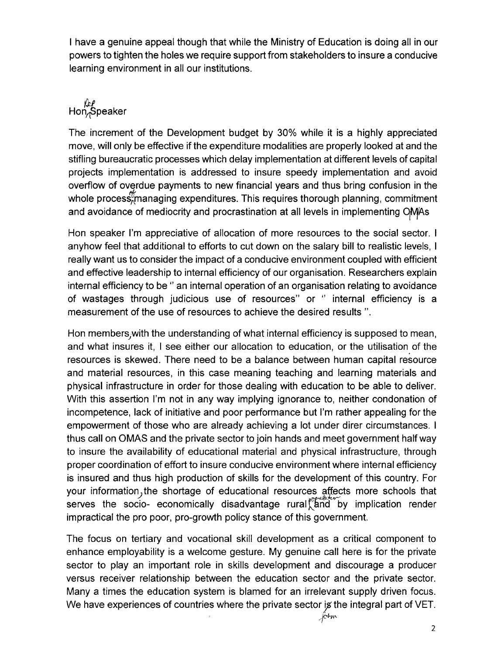I have a genuine appeal though that while the Ministry of Education is doing all in our powers to tighten the holes we require support from stakeholders to insure a conducive learning environment in all our institutions.

## *f⊭f*<br>Hon<sub>∩</sub>Speaker

The increment of the Development budget by 30% while it is a highly appreciated move, will only be effective if the expenditure modalities are properly looked at and the stifling bureaucratic processes which delay implementation at different levels of capital projects implementation is addressed to insure speedy implementation and avoid overflow of overdue payments to new financial years and thus bring confusion in the whole process, managing expenditures. This requires thorough planning, commitment and avoidance of mediocrity and procrastination at all levels in implementing OMAs

Hon speaker I'm appreciative of allocation of more resources to the social sector. I anyhow feel that additional to efforts to cut down on the salary bill to realistic levels, I really want us to consider the impact of a conducive environment coupled with efficient and effective leadership to internal efficiency of our organisation. Researchers explain internal efficiency to be " an internal operation of an organisation relating to avoidance of wastages through judicious use of resources" or " internal efficiency is a measurement of the use of resources to achieve the desired results".

Hon members.with the understanding of what internal efficiency is supposed to mean, and what insures it, I see either our allocation to education, or the utilisation of the resources is skewed. There need to be a balance between human capital resource and material resources, in this case meaning teaching and learning materials and physical infrastructure in order for those dealing with education to be able to deliver. With this assertion I'm not in any way implying ignorance to, neither condonation of incompetence, lack of initiative and poor performance but I'm rather appealing for the empowerment of those who are already achieving a lot under direr circumstances. I thus call on OMAS and the private sector to join hands and meet government half way to insure the availability of educational material and physical infrastructure, through proper coordination of effort to insure conducive environment where internal efficiency is insured and thus high production of skills for the development of this country. For your information, the shortage of educational resources affects more schools that serves the socio- economically disadvantage rural  $\int_{0}^{\infty}$  and by implication render impractical the pro poor, pro-growth policy stance of this government.

The focus on tertiary and vocational skill development as a critical component to enhance employability is a welcome gesture. My genuine call here is for the private sector to play an important role in skills development and discourage a producer versus receiver relationship between the education sector and the private sector. Many a times the education system is blamed for an irrelevant supply driven focus. We have experiences of countries where the private sector is the integral part of VET.

-form